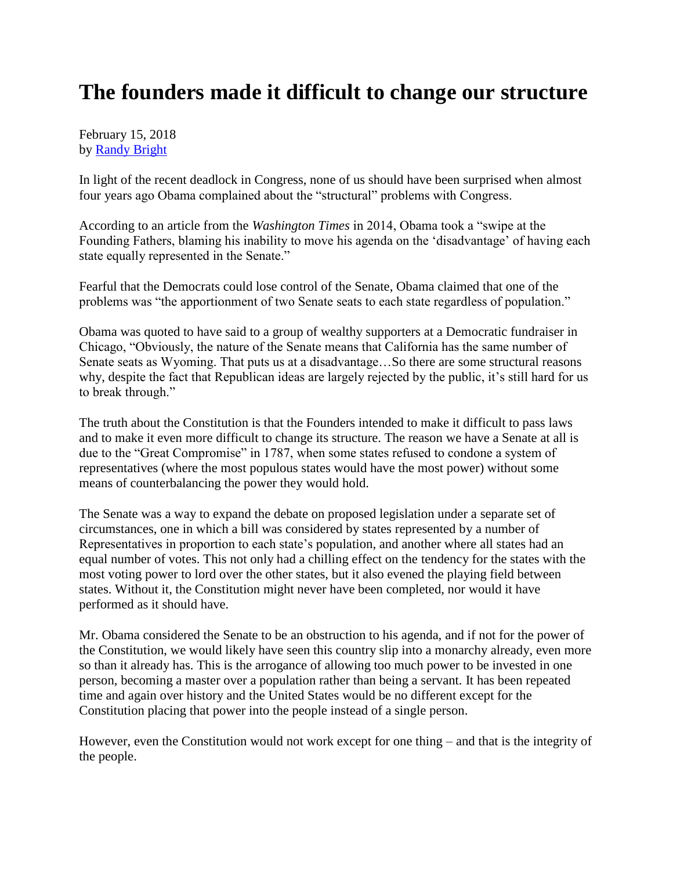## **The founders made it difficult to change our structure**

February 15, 2018 by [Randy Bright](http://tulsabeacon.com/writers/randy-bright/)

In light of the recent deadlock in Congress, none of us should have been surprised when almost four years ago Obama complained about the "structural" problems with Congress.

According to an article from the *Washington Times* in 2014, Obama took a "swipe at the Founding Fathers, blaming his inability to move his agenda on the 'disadvantage' of having each state equally represented in the Senate."

Fearful that the Democrats could lose control of the Senate, Obama claimed that one of the problems was "the apportionment of two Senate seats to each state regardless of population."

Obama was quoted to have said to a group of wealthy supporters at a Democratic fundraiser in Chicago, "Obviously, the nature of the Senate means that California has the same number of Senate seats as Wyoming. That puts us at a disadvantage…So there are some structural reasons why, despite the fact that Republican ideas are largely rejected by the public, it's still hard for us to break through."

The truth about the Constitution is that the Founders intended to make it difficult to pass laws and to make it even more difficult to change its structure. The reason we have a Senate at all is due to the "Great Compromise" in 1787, when some states refused to condone a system of representatives (where the most populous states would have the most power) without some means of counterbalancing the power they would hold.

The Senate was a way to expand the debate on proposed legislation under a separate set of circumstances, one in which a bill was considered by states represented by a number of Representatives in proportion to each state's population, and another where all states had an equal number of votes. This not only had a chilling effect on the tendency for the states with the most voting power to lord over the other states, but it also evened the playing field between states. Without it, the Constitution might never have been completed, nor would it have performed as it should have.

Mr. Obama considered the Senate to be an obstruction to his agenda, and if not for the power of the Constitution, we would likely have seen this country slip into a monarchy already, even more so than it already has. This is the arrogance of allowing too much power to be invested in one person, becoming a master over a population rather than being a servant. It has been repeated time and again over history and the United States would be no different except for the Constitution placing that power into the people instead of a single person.

However, even the Constitution would not work except for one thing – and that is the integrity of the people.